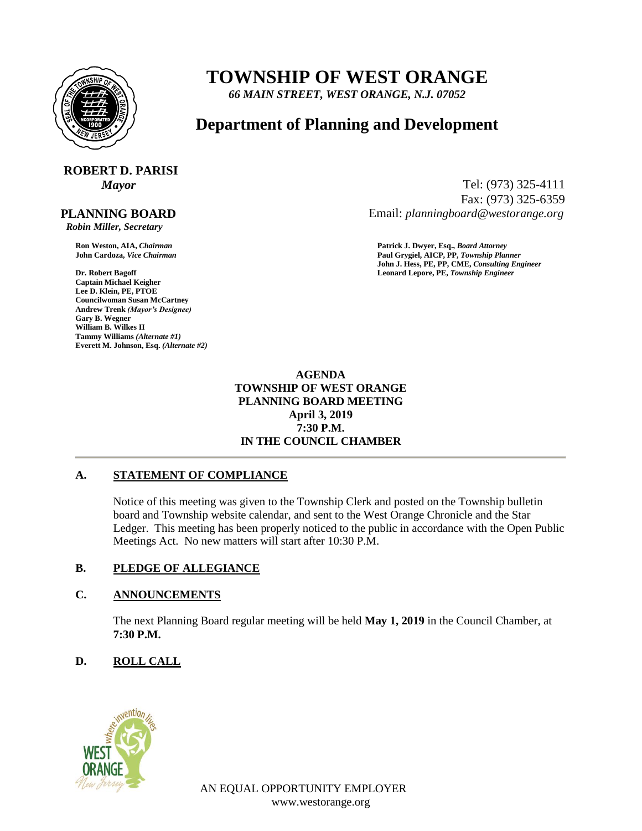

## **TOWNSHIP OF WEST ORANGE**

*66 MAIN STREET, WEST ORANGE, N.J. 07052*

### **Department of Planning and Development**

# **ROBERT D. PARISI**

 **PLANNING BOARD**

 *Robin Miller, Secretary*

**Captain Michael Keigher Lee D. Klein, PE, PTOE Councilwoman Susan McCartney Andrew Trenk** *(Mayor's Designee)* **Gary B. Wegner William B. Wilkes II Tammy Williams** *(Alternate #1)* **Everett M. Johnson, Esq.** *(Alternate #2)*

*Mayor* Tel: (973) 325-4111 Fax: (973) 325-6359 Email: *planningboard@westorange.org*

**Ron Weston, AIA,** *Chairman* **Patrick J. Dwyer, Esq.,** *Board Attorney* **John Cardoza,** *Vice Chairman* **Paul Grygiel, AICP, PP,** *Township Planner* **John J. Hess, PE, PP, CME,** *Consulting Engineer* **Dr. Robert Bagoff Leonard Lepore, PE,** *Township Engineer*

#### **AGENDA TOWNSHIP OF WEST ORANGE PLANNING BOARD MEETING April 3, 2019 7:30 P.M. IN THE COUNCIL CHAMBER**

#### **A. STATEMENT OF COMPLIANCE**

Notice of this meeting was given to the Township Clerk and posted on the Township bulletin board and Township website calendar, and sent to the West Orange Chronicle and the Star Ledger. This meeting has been properly noticed to the public in accordance with the Open Public Meetings Act. No new matters will start after 10:30 P.M.

#### **B. PLEDGE OF ALLEGIANCE**

#### **C. ANNOUNCEMENTS**

The next Planning Board regular meeting will be held **May 1, 2019** in the Council Chamber, at **7:30 P.M.**

#### **D. ROLL CALL**